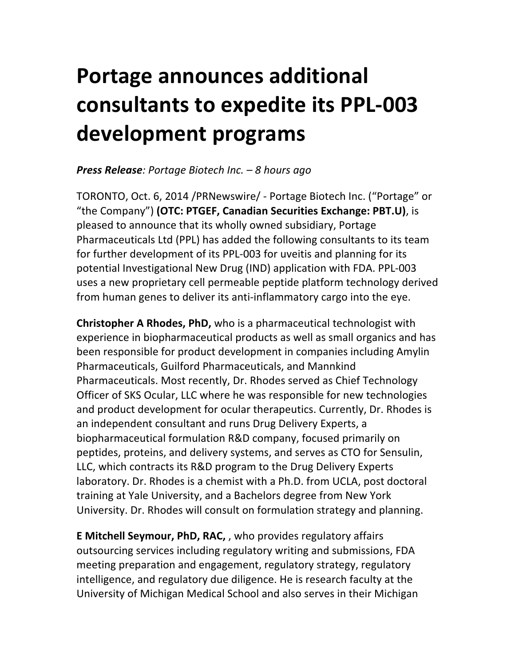# **Portage announces additional consultants to expedite its PPL-003 development programs**

# *Press Release: Portage Biotech Inc. – 8 hours ago*

TORONTO, Oct. 6, 2014 /PRNewswire/ - Portage Biotech Inc. ("Portage" or "the Company") **(OTC: PTGEF, Canadian Securities Exchange: PBT.U)**, is pleased to announce that its wholly owned subsidiary, Portage Pharmaceuticals Ltd (PPL) has added the following consultants to its team for further development of its PPL-003 for uveitis and planning for its potential Investigational New Drug (IND) application with FDA. PPL-003 uses a new proprietary cell permeable peptide platform technology derived from human genes to deliver its anti-inflammatory cargo into the eye.

**Christopher A Rhodes, PhD,** who is a pharmaceutical technologist with experience in biopharmaceutical products as well as small organics and has been responsible for product development in companies including Amylin Pharmaceuticals, Guilford Pharmaceuticals, and Mannkind Pharmaceuticals. Most recently, Dr. Rhodes served as Chief Technology Officer of SKS Ocular, LLC where he was responsible for new technologies and product development for ocular therapeutics. Currently, Dr. Rhodes is an independent consultant and runs Drug Delivery Experts, a biopharmaceutical formulation R&D company, focused primarily on peptides, proteins, and delivery systems, and serves as CTO for Sensulin, LLC, which contracts its R&D program to the Drug Delivery Experts laboratory. Dr. Rhodes is a chemist with a Ph.D. from UCLA, post doctoral training at Yale University, and a Bachelors degree from New York University. Dr. Rhodes will consult on formulation strategy and planning.

**E** Mitchell Seymour, PhD, RAC,, who provides regulatory affairs outsourcing services including regulatory writing and submissions, FDA meeting preparation and engagement, regulatory strategy, regulatory intelligence, and regulatory due diligence. He is research faculty at the University of Michigan Medical School and also serves in their Michigan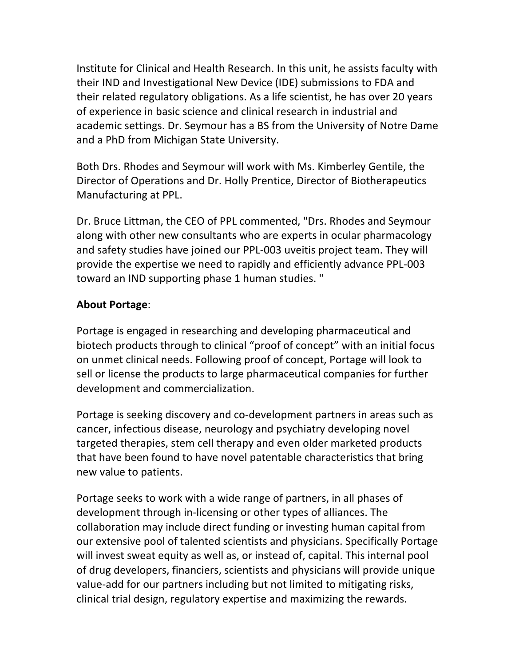Institute for Clinical and Health Research. In this unit, he assists faculty with their IND and Investigational New Device (IDE) submissions to FDA and their related regulatory obligations. As a life scientist, he has over 20 years of experience in basic science and clinical research in industrial and academic settings. Dr. Seymour has a BS from the University of Notre Dame and a PhD from Michigan State University.

Both Drs. Rhodes and Seymour will work with Ms. Kimberley Gentile, the Director of Operations and Dr. Holly Prentice, Director of Biotherapeutics Manufacturing at PPL.

Dr. Bruce Littman, the CEO of PPL commented, "Drs. Rhodes and Seymour along with other new consultants who are experts in ocular pharmacology and safety studies have joined our PPL-003 uveitis project team. They will provide the expertise we need to rapidly and efficiently advance PPL-003 toward an IND supporting phase 1 human studies. "

## **About Portage**:

Portage is engaged in researching and developing pharmaceutical and biotech products through to clinical "proof of concept" with an initial focus on unmet clinical needs. Following proof of concept, Portage will look to sell or license the products to large pharmaceutical companies for further development and commercialization.

Portage is seeking discovery and co-development partners in areas such as cancer, infectious disease, neurology and psychiatry developing novel targeted therapies, stem cell therapy and even older marketed products that have been found to have novel patentable characteristics that bring new value to patients.

Portage seeks to work with a wide range of partners, in all phases of development through in-licensing or other types of alliances. The collaboration may include direct funding or investing human capital from our extensive pool of talented scientists and physicians. Specifically Portage will invest sweat equity as well as, or instead of, capital. This internal pool of drug developers, financiers, scientists and physicians will provide unique value-add for our partners including but not limited to mitigating risks, clinical trial design, regulatory expertise and maximizing the rewards.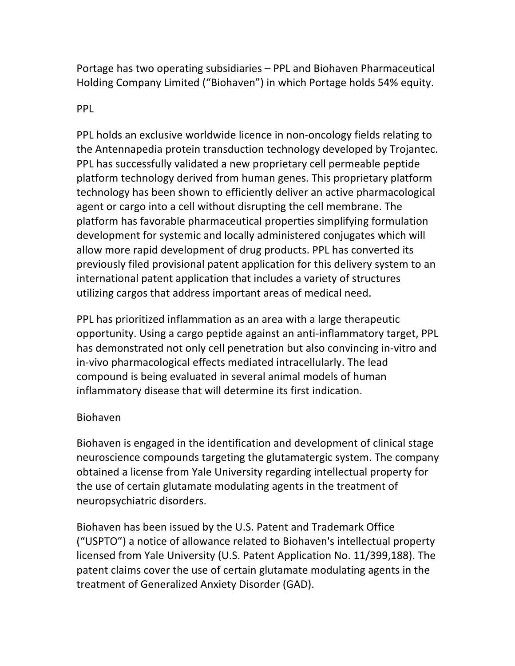Portage has two operating subsidiaries – PPL and Biohaven Pharmaceutical Holding Company Limited ("Biohaven") in which Portage holds 54% equity.

#### PPL

PPL holds an exclusive worldwide licence in non-oncology fields relating to the Antennapedia protein transduction technology developed by Trojantec. PPL has successfully validated a new proprietary cell permeable peptide platform technology derived from human genes. This proprietary platform technology has been shown to efficiently deliver an active pharmacological agent or cargo into a cell without disrupting the cell membrane. The platform has favorable pharmaceutical properties simplifying formulation development for systemic and locally administered conjugates which will allow more rapid development of drug products. PPL has converted its previously filed provisional patent application for this delivery system to an international patent application that includes a variety of structures utilizing cargos that address important areas of medical need.

PPL has prioritized inflammation as an area with a large therapeutic opportunity. Using a cargo peptide against an anti-inflammatory target, PPL has demonstrated not only cell penetration but also convincing in-vitro and in-vivo pharmacological effects mediated intracellularly. The lead compound is being evaluated in several animal models of human inflammatory disease that will determine its first indication.

## Biohaven

Biohaven is engaged in the identification and development of clinical stage neuroscience compounds targeting the glutamatergic system. The company obtained a license from Yale University regarding intellectual property for the use of certain glutamate modulating agents in the treatment of neuropsychiatric disorders.

Biohaven has been issued by the U.S. Patent and Trademark Office ("USPTO") a notice of allowance related to Biohaven's intellectual property licensed from Yale University (U.S. Patent Application No. 11/399,188). The patent claims cover the use of certain glutamate modulating agents in the treatment of Generalized Anxiety Disorder (GAD).